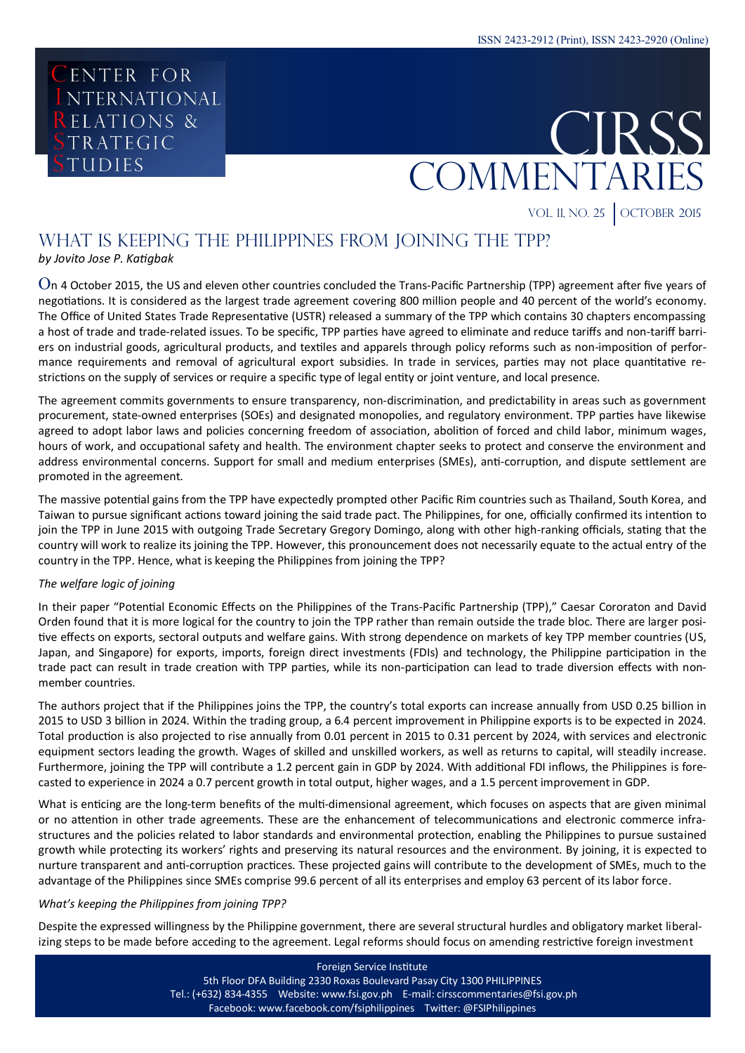# CENTER FOR I NTERNATIONAL **RELATIONS &** TRATEGIC **TUDIES**



VOL. II, NO. 25 | OCTOBER 2015

## WHAT IS KEEPING THE PHILIPPINES FROM JOINING THE TPP?

*by Jovito Jose P. Katigbak*

On 4 October 2015, the US and eleven other countries concluded the Trans-Pacific Partnership (TPP) agreement after five years of negotiations. It is considered as the largest trade agreement covering 800 million people and 40 percent of the world's economy. The Office of United States Trade Representative (USTR) released a summary of the TPP which contains 30 chapters encompassing a host of trade and trade-related issues. To be specific, TPP parties have agreed to eliminate and reduce tariffs and non-tariff barriers on industrial goods, agricultural products, and textiles and apparels through policy reforms such as non-imposition of performance requirements and removal of agricultural export subsidies. In trade in services, parties may not place quantitative restrictions on the supply of services or require a specific type of legal entity or joint venture, and local presence.

The agreement commits governments to ensure transparency, non-discrimination, and predictability in areas such as government procurement, state-owned enterprises (SOEs) and designated monopolies, and regulatory environment. TPP parties have likewise agreed to adopt labor laws and policies concerning freedom of association, abolition of forced and child labor, minimum wages, hours of work, and occupational safety and health. The environment chapter seeks to protect and conserve the environment and address environmental concerns. Support for small and medium enterprises (SMEs), anti-corruption, and dispute settlement are promoted in the agreement.

The massive potential gains from the TPP have expectedly prompted other Pacific Rim countries such as Thailand, South Korea, and Taiwan to pursue significant actions toward joining the said trade pact. The Philippines, for one, officially confirmed its intention to join the TPP in June 2015 with outgoing Trade Secretary Gregory Domingo, along with other high-ranking officials, stating that the country will work to realize its joining the TPP. However, this pronouncement does not necessarily equate to the actual entry of the country in the TPP. Hence, what is keeping the Philippines from joining the TPP?

### *The welfare logic of joining*

In their paper "Potential Economic Effects on the Philippines of the Trans-Pacific Partnership (TPP)," Caesar Cororaton and David Orden found that it is more logical for the country to join the TPP rather than remain outside the trade bloc. There are larger positive effects on exports, sectoral outputs and welfare gains. With strong dependence on markets of key TPP member countries (US, Japan, and Singapore) for exports, imports, foreign direct investments (FDIs) and technology, the Philippine participation in the trade pact can result in trade creation with TPP parties, while its non-participation can lead to trade diversion effects with nonmember countries.

The authors project that if the Philippines joins the TPP, the country's total exports can increase annually from USD 0.25 billion in 2015 to USD 3 billion in 2024. Within the trading group, a 6.4 percent improvement in Philippine exports is to be expected in 2024. Total production is also projected to rise annually from 0.01 percent in 2015 to 0.31 percent by 2024, with services and electronic equipment sectors leading the growth. Wages of skilled and unskilled workers, as well as returns to capital, will steadily increase. Furthermore, joining the TPP will contribute a 1.2 percent gain in GDP by 2024. With additional FDI inflows, the Philippines is forecasted to experience in 2024 a 0.7 percent growth in total output, higher wages, and a 1.5 percent improvement in GDP.

What is enticing are the long-term benefits of the multi-dimensional agreement, which focuses on aspects that are given minimal or no attention in other trade agreements. These are the enhancement of telecommunications and electronic commerce infrastructures and the policies related to labor standards and environmental protection, enabling the Philippines to pursue sustained growth while protecting its workers' rights and preserving its natural resources and the environment. By joining, it is expected to nurture transparent and anti-corruption practices. These projected gains will contribute to the development of SMEs, much to the advantage of the Philippines since SMEs comprise 99.6 percent of all its enterprises and employ 63 percent of its labor force.

### *What's keeping the Philippines from joining TPP?*

Despite the expressed willingness by the Philippine government, there are several structural hurdles and obligatory market liberalizing steps to be made before acceding to the agreement. Legal reforms should focus on amending restrictive foreign investment

> Foreign Service Institute Foreign Service Institute 5th Floor DFA Building 2330 Roxas Boulevard Pasay City 1300 PHILIPPINES 5th Floor DFA Building 2330 Roxas Boulevard Pasay City 1300 PHILIPPINES Tel.: (+632) 834-4355 Website: www.fsi.gov.ph E-mail: cirsscommentaries@fsi.gov.ph Tel.: (+632) 834-4355 Website: www.fsi.gov.ph E-mail: cirsscommentaries@fsi.gov.ph Facebook: www.facebook.com/fsiphilippines Twitter: @FSIPhilippines Facebook: www.facebook.com/fsiphilippines Twitter: @FSIPhilippines